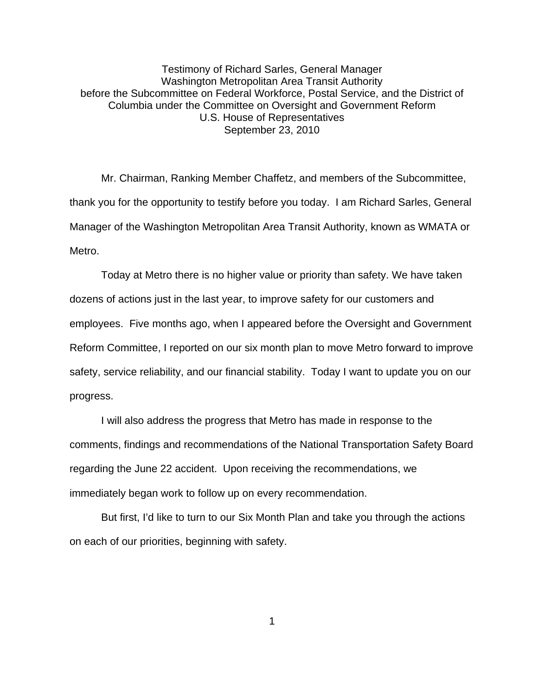Testimony of Richard Sarles, General Manager Washington Metropolitan Area Transit Authority before the Subcommittee on Federal Workforce, Postal Service, and the District of Columbia under the Committee on Oversight and Government Reform U.S. House of Representatives September 23, 2010

Mr. Chairman, Ranking Member Chaffetz, and members of the Subcommittee, thank you for the opportunity to testify before you today. I am Richard Sarles, General Manager of the Washington Metropolitan Area Transit Authority, known as WMATA or Metro.

Today at Metro there is no higher value or priority than safety. We have taken dozens of actions just in the last year, to improve safety for our customers and employees. Five months ago, when I appeared before the Oversight and Government Reform Committee, I reported on our six month plan to move Metro forward to improve safety, service reliability, and our financial stability. Today I want to update you on our progress.

I will also address the progress that Metro has made in response to the comments, findings and recommendations of the National Transportation Safety Board regarding the June 22 accident. Upon receiving the recommendations, we immediately began work to follow up on every recommendation.

But first, I'd like to turn to our Six Month Plan and take you through the actions on each of our priorities, beginning with safety.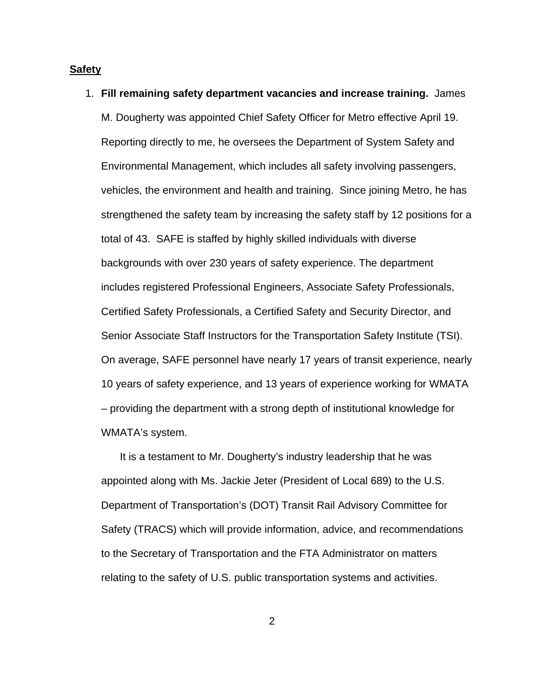# **Safety**

1. **Fill remaining safety department vacancies and increase training.** James M. Dougherty was appointed Chief Safety Officer for Metro effective April 19. Reporting directly to me, he oversees the Department of System Safety and Environmental Management, which includes all safety involving passengers, vehicles, the environment and health and training. Since joining Metro, he has strengthened the safety team by increasing the safety staff by 12 positions for a total of 43. SAFE is staffed by highly skilled individuals with diverse backgrounds with over 230 years of safety experience. The department includes registered Professional Engineers, Associate Safety Professionals, Certified Safety Professionals, a Certified Safety and Security Director, and Senior Associate Staff Instructors for the Transportation Safety Institute (TSI). On average, SAFE personnel have nearly 17 years of transit experience, nearly 10 years of safety experience, and 13 years of experience working for WMATA – providing the department with a strong depth of institutional knowledge for WMATA's system.

 It is a testament to Mr. Dougherty's industry leadership that he was appointed along with Ms. Jackie Jeter (President of Local 689) to the U.S. Department of Transportation's (DOT) Transit Rail Advisory Committee for Safety (TRACS) which will provide information, advice, and recommendations to the Secretary of Transportation and the FTA Administrator on matters relating to the safety of U.S. public transportation systems and activities.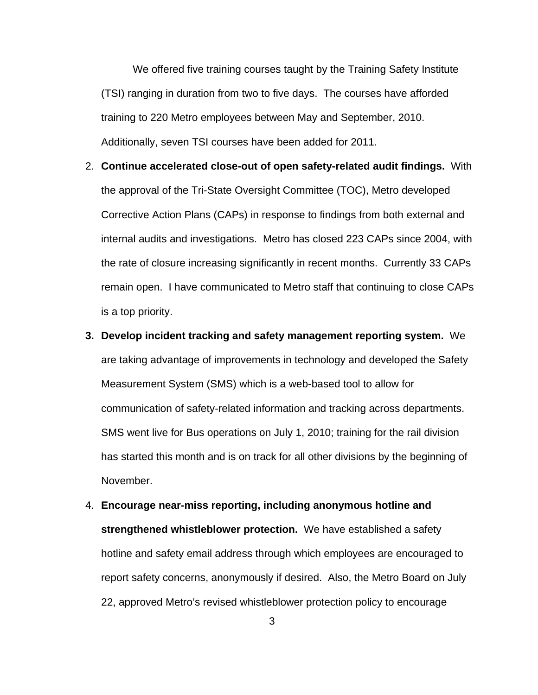We offered five training courses taught by the Training Safety Institute (TSI) ranging in duration from two to five days. The courses have afforded training to 220 Metro employees between May and September, 2010. Additionally, seven TSI courses have been added for 2011.

- 2. **Continue accelerated close-out of open safety-related audit findings.** With the approval of the Tri-State Oversight Committee (TOC), Metro developed Corrective Action Plans (CAPs) in response to findings from both external and internal audits and investigations. Metro has closed 223 CAPs since 2004, with the rate of closure increasing significantly in recent months. Currently 33 CAPs remain open. I have communicated to Metro staff that continuing to close CAPs is a top priority.
- **3. Develop incident tracking and safety management reporting system.** We are taking advantage of improvements in technology and developed the Safety Measurement System (SMS) which is a web-based tool to allow for communication of safety-related information and tracking across departments. SMS went live for Bus operations on July 1, 2010; training for the rail division has started this month and is on track for all other divisions by the beginning of November.
- 4. **Encourage near-miss reporting, including anonymous hotline and strengthened whistleblower protection.** We have established a safety hotline and safety email address through which employees are encouraged to report safety concerns, anonymously if desired. Also, the Metro Board on July 22, approved Metro's revised whistleblower protection policy to encourage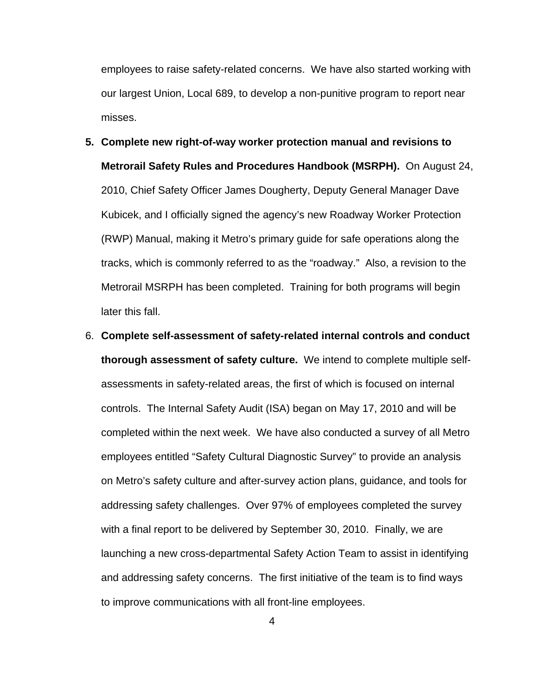employees to raise safety-related concerns. We have also started working with our largest Union, Local 689, to develop a non-punitive program to report near misses.

- **5. Complete new right-of-way worker protection manual and revisions to Metrorail Safety Rules and Procedures Handbook (MSRPH).** On August 24, 2010, Chief Safety Officer James Dougherty, Deputy General Manager Dave Kubicek, and I officially signed the agency's new Roadway Worker Protection (RWP) Manual, making it Metro's primary guide for safe operations along the tracks, which is commonly referred to as the "roadway." Also, a revision to the Metrorail MSRPH has been completed. Training for both programs will begin later this fall.
- 6. **Complete self-assessment of safety-related internal controls and conduct thorough assessment of safety culture.** We intend to complete multiple selfassessments in safety-related areas, the first of which is focused on internal controls. The Internal Safety Audit (ISA) began on May 17, 2010 and will be completed within the next week. We have also conducted a survey of all Metro employees entitled "Safety Cultural Diagnostic Survey" to provide an analysis on Metro's safety culture and after-survey action plans, guidance, and tools for addressing safety challenges. Over 97% of employees completed the survey with a final report to be delivered by September 30, 2010. Finally, we are launching a new cross-departmental Safety Action Team to assist in identifying and addressing safety concerns. The first initiative of the team is to find ways to improve communications with all front-line employees.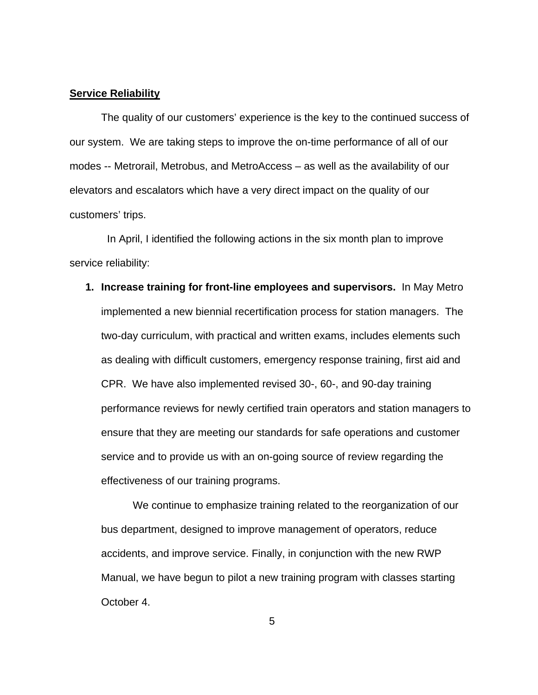## **Service Reliability**

The quality of our customers' experience is the key to the continued success of our system. We are taking steps to improve the on-time performance of all of our modes -- Metrorail, Metrobus, and MetroAccess – as well as the availability of our elevators and escalators which have a very direct impact on the quality of our customers' trips.

 In April, I identified the following actions in the six month plan to improve service reliability:

**1. Increase training for front-line employees and supervisors.** In May Metro implemented a new biennial recertification process for station managers. The two-day curriculum, with practical and written exams, includes elements such as dealing with difficult customers, emergency response training, first aid and CPR. We have also implemented revised 30-, 60-, and 90-day training performance reviews for newly certified train operators and station managers to ensure that they are meeting our standards for safe operations and customer service and to provide us with an on-going source of review regarding the effectiveness of our training programs.

We continue to emphasize training related to the reorganization of our bus department, designed to improve management of operators, reduce accidents, and improve service. Finally, in conjunction with the new RWP Manual, we have begun to pilot a new training program with classes starting October 4.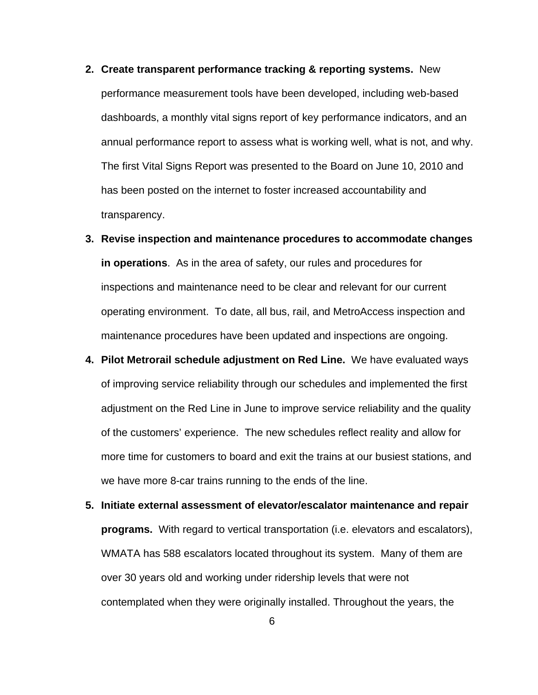- **2. Create transparent performance tracking & reporting systems.** New performance measurement tools have been developed, including web-based dashboards, a monthly vital signs report of key performance indicators, and an annual performance report to assess what is working well, what is not, and why. The first Vital Signs Report was presented to the Board on June 10, 2010 and has been posted on the internet to foster increased accountability and transparency.
- **3. Revise inspection and maintenance procedures to accommodate changes in operations**. As in the area of safety, our rules and procedures for inspections and maintenance need to be clear and relevant for our current operating environment. To date, all bus, rail, and MetroAccess inspection and maintenance procedures have been updated and inspections are ongoing.
- **4. Pilot Metrorail schedule adjustment on Red Line.** We have evaluated ways of improving service reliability through our schedules and implemented the first adjustment on the Red Line in June to improve service reliability and the quality of the customers' experience. The new schedules reflect reality and allow for more time for customers to board and exit the trains at our busiest stations, and we have more 8-car trains running to the ends of the line.
- **5. Initiate external assessment of elevator/escalator maintenance and repair programs.** With regard to vertical transportation (i.e. elevators and escalators), WMATA has 588 escalators located throughout its system. Many of them are over 30 years old and working under ridership levels that were not contemplated when they were originally installed. Throughout the years, the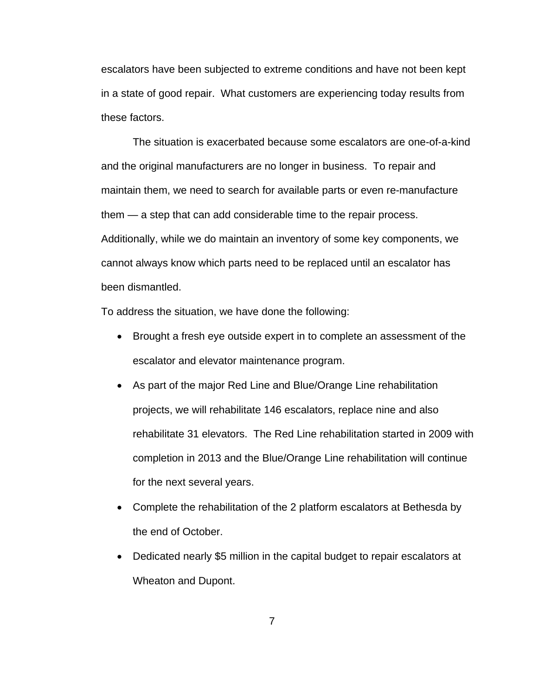escalators have been subjected to extreme conditions and have not been kept in a state of good repair. What customers are experiencing today results from these factors.

The situation is exacerbated because some escalators are one-of-a-kind and the original manufacturers are no longer in business. To repair and maintain them, we need to search for available parts or even re-manufacture them — a step that can add considerable time to the repair process. Additionally, while we do maintain an inventory of some key components, we cannot always know which parts need to be replaced until an escalator has been dismantled.

To address the situation, we have done the following:

- Brought a fresh eye outside expert in to complete an assessment of the escalator and elevator maintenance program.
- As part of the major Red Line and Blue/Orange Line rehabilitation projects, we will rehabilitate 146 escalators, replace nine and also rehabilitate 31 elevators. The Red Line rehabilitation started in 2009 with completion in 2013 and the Blue/Orange Line rehabilitation will continue for the next several years.
- Complete the rehabilitation of the 2 platform escalators at Bethesda by the end of October.
- Dedicated nearly \$5 million in the capital budget to repair escalators at Wheaton and Dupont.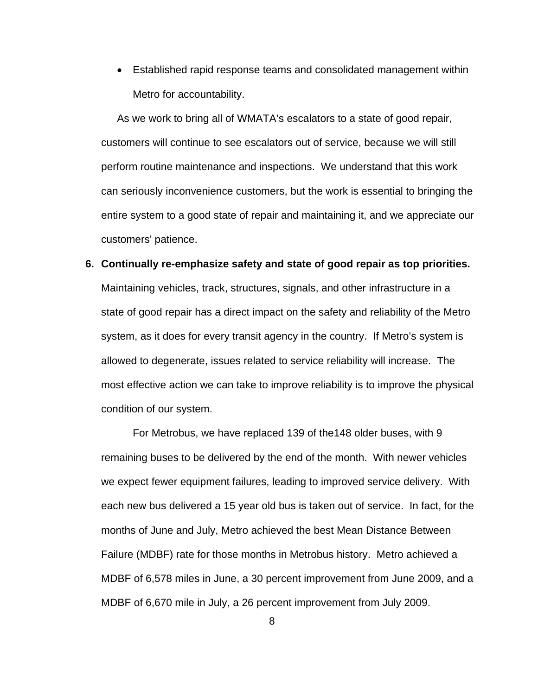• Established rapid response teams and consolidated management within Metro for accountability.

As we work to bring all of WMATA's escalators to a state of good repair, customers will continue to see escalators out of service, because we will still perform routine maintenance and inspections. We understand that this work can seriously inconvenience customers, but the work is essential to bringing the entire system to a good state of repair and maintaining it, and we appreciate our customers' patience.

# **6. Continually re-emphasize safety and state of good repair as top priorities.**

Maintaining vehicles, track, structures, signals, and other infrastructure in a state of good repair has a direct impact on the safety and reliability of the Metro system, as it does for every transit agency in the country. If Metro's system is allowed to degenerate, issues related to service reliability will increase. The most effective action we can take to improve reliability is to improve the physical condition of our system.

For Metrobus, we have replaced 139 of the148 older buses, with 9 remaining buses to be delivered by the end of the month. With newer vehicles we expect fewer equipment failures, leading to improved service delivery. With each new bus delivered a 15 year old bus is taken out of service. In fact, for the months of June and July, Metro achieved the best Mean Distance Between Failure (MDBF) rate for those months in Metrobus history. Metro achieved a MDBF of 6,578 miles in June, a 30 percent improvement from June 2009, and a MDBF of 6,670 mile in July, a 26 percent improvement from July 2009.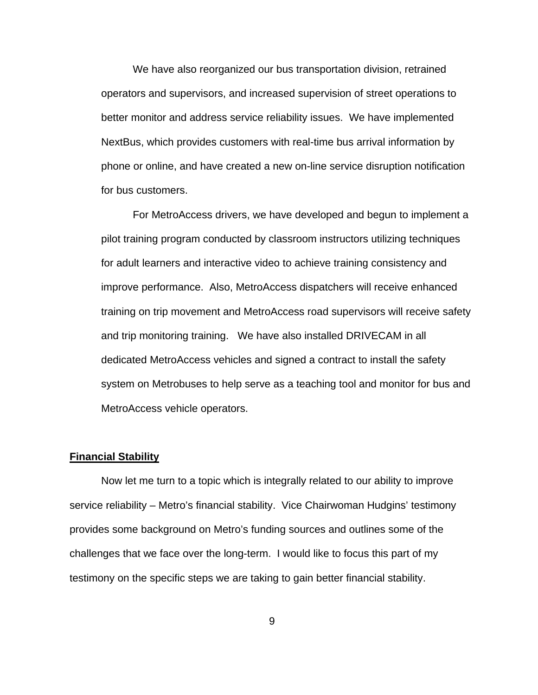We have also reorganized our bus transportation division, retrained operators and supervisors, and increased supervision of street operations to better monitor and address service reliability issues. We have implemented NextBus, which provides customers with real-time bus arrival information by phone or online, and have created a new on-line service disruption notification for bus customers.

For MetroAccess drivers, we have developed and begun to implement a pilot training program conducted by classroom instructors utilizing techniques for adult learners and interactive video to achieve training consistency and improve performance. Also, MetroAccess dispatchers will receive enhanced training on trip movement and MetroAccess road supervisors will receive safety and trip monitoring training. We have also installed DRIVECAM in all dedicated MetroAccess vehicles and signed a contract to install the safety system on Metrobuses to help serve as a teaching tool and monitor for bus and MetroAccess vehicle operators.

#### **Financial Stability**

 Now let me turn to a topic which is integrally related to our ability to improve service reliability – Metro's financial stability. Vice Chairwoman Hudgins' testimony provides some background on Metro's funding sources and outlines some of the challenges that we face over the long-term. I would like to focus this part of my testimony on the specific steps we are taking to gain better financial stability.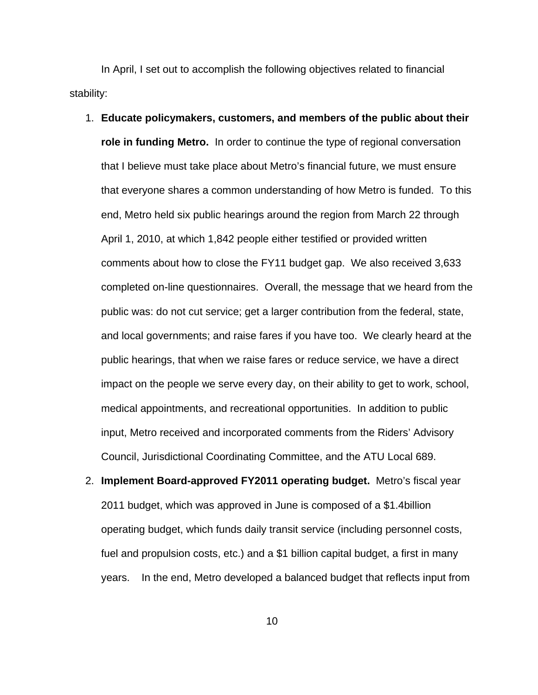In April, I set out to accomplish the following objectives related to financial stability:

- 1. **Educate policymakers, customers, and members of the public about their role in funding Metro.** In order to continue the type of regional conversation that I believe must take place about Metro's financial future, we must ensure that everyone shares a common understanding of how Metro is funded. To this end, Metro held six public hearings around the region from March 22 through April 1, 2010, at which 1,842 people either testified or provided written comments about how to close the FY11 budget gap. We also received 3,633 completed on-line questionnaires. Overall, the message that we heard from the public was: do not cut service; get a larger contribution from the federal, state, and local governments; and raise fares if you have too. We clearly heard at the public hearings, that when we raise fares or reduce service, we have a direct impact on the people we serve every day, on their ability to get to work, school, medical appointments, and recreational opportunities. In addition to public input, Metro received and incorporated comments from the Riders' Advisory Council, Jurisdictional Coordinating Committee, and the ATU Local 689.
- 2. **Implement Board-approved FY2011 operating budget.** Metro's fiscal year 2011 budget, which was approved in June is composed of a \$1.4billion operating budget, which funds daily transit service (including personnel costs, fuel and propulsion costs, etc.) and a \$1 billion capital budget, a first in many years. In the end, Metro developed a balanced budget that reflects input from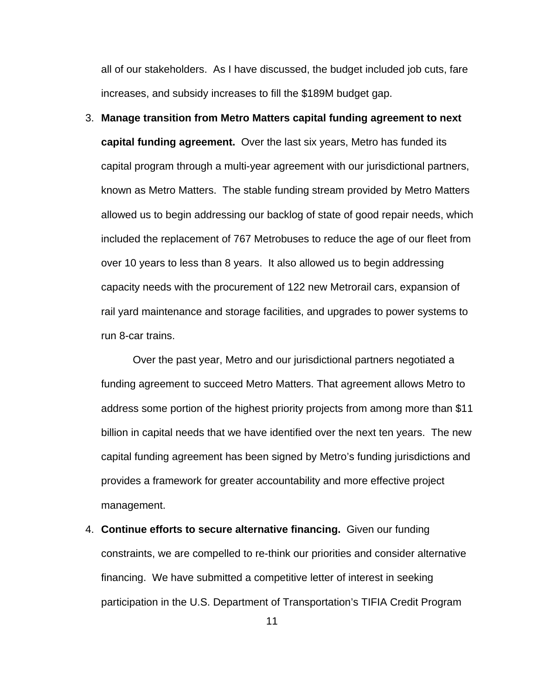all of our stakeholders. As I have discussed, the budget included job cuts, fare increases, and subsidy increases to fill the \$189M budget gap.

3. **Manage transition from Metro Matters capital funding agreement to next capital funding agreement.** Over the last six years, Metro has funded its capital program through a multi-year agreement with our jurisdictional partners, known as Metro Matters. The stable funding stream provided by Metro Matters allowed us to begin addressing our backlog of state of good repair needs, which included the replacement of 767 Metrobuses to reduce the age of our fleet from over 10 years to less than 8 years. It also allowed us to begin addressing capacity needs with the procurement of 122 new Metrorail cars, expansion of rail yard maintenance and storage facilities, and upgrades to power systems to run 8-car trains.

Over the past year, Metro and our jurisdictional partners negotiated a funding agreement to succeed Metro Matters. That agreement allows Metro to address some portion of the highest priority projects from among more than \$11 billion in capital needs that we have identified over the next ten years. The new capital funding agreement has been signed by Metro's funding jurisdictions and provides a framework for greater accountability and more effective project management.

4. **Continue efforts to secure alternative financing.** Given our funding constraints, we are compelled to re-think our priorities and consider alternative financing. We have submitted a competitive letter of interest in seeking participation in the U.S. Department of Transportation's TIFIA Credit Program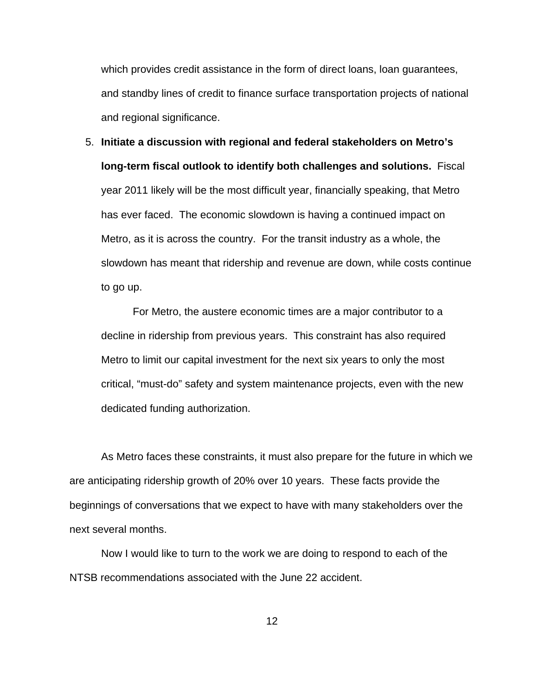which provides credit assistance in the form of direct loans, loan guarantees, and standby lines of credit to finance surface transportation projects of national and regional significance.

5. **Initiate a discussion with regional and federal stakeholders on Metro's long-term fiscal outlook to identify both challenges and solutions.** Fiscal year 2011 likely will be the most difficult year, financially speaking, that Metro has ever faced. The economic slowdown is having a continued impact on Metro, as it is across the country. For the transit industry as a whole, the slowdown has meant that ridership and revenue are down, while costs continue to go up.

For Metro, the austere economic times are a major contributor to a decline in ridership from previous years. This constraint has also required Metro to limit our capital investment for the next six years to only the most critical, "must-do" safety and system maintenance projects, even with the new dedicated funding authorization.

 As Metro faces these constraints, it must also prepare for the future in which we are anticipating ridership growth of 20% over 10 years. These facts provide the beginnings of conversations that we expect to have with many stakeholders over the next several months.

Now I would like to turn to the work we are doing to respond to each of the NTSB recommendations associated with the June 22 accident.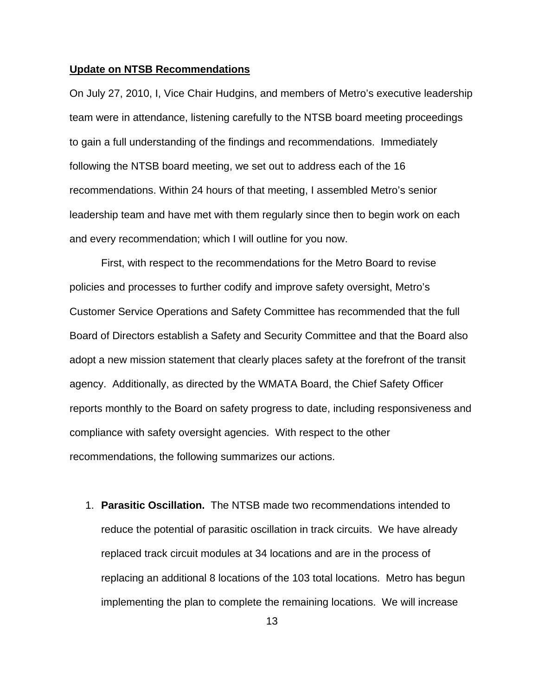## **Update on NTSB Recommendations**

On July 27, 2010, I, Vice Chair Hudgins, and members of Metro's executive leadership team were in attendance, listening carefully to the NTSB board meeting proceedings to gain a full understanding of the findings and recommendations. Immediately following the NTSB board meeting, we set out to address each of the 16 recommendations. Within 24 hours of that meeting, I assembled Metro's senior leadership team and have met with them regularly since then to begin work on each and every recommendation; which I will outline for you now.

First, with respect to the recommendations for the Metro Board to revise policies and processes to further codify and improve safety oversight, Metro's Customer Service Operations and Safety Committee has recommended that the full Board of Directors establish a Safety and Security Committee and that the Board also adopt a new mission statement that clearly places safety at the forefront of the transit agency. Additionally, as directed by the WMATA Board, the Chief Safety Officer reports monthly to the Board on safety progress to date, including responsiveness and compliance with safety oversight agencies. With respect to the other recommendations, the following summarizes our actions.

1. **Parasitic Oscillation.** The NTSB made two recommendations intended to reduce the potential of parasitic oscillation in track circuits. We have already replaced track circuit modules at 34 locations and are in the process of replacing an additional 8 locations of the 103 total locations. Metro has begun implementing the plan to complete the remaining locations. We will increase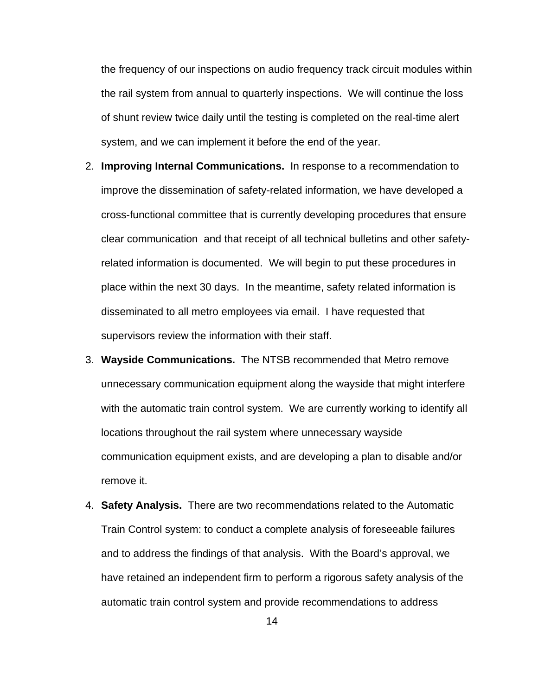the frequency of our inspections on audio frequency track circuit modules within the rail system from annual to quarterly inspections. We will continue the loss of shunt review twice daily until the testing is completed on the real-time alert system, and we can implement it before the end of the year.

- 2. **Improving Internal Communications.** In response to a recommendation to improve the dissemination of safety-related information, we have developed a cross-functional committee that is currently developing procedures that ensure clear communication and that receipt of all technical bulletins and other safetyrelated information is documented. We will begin to put these procedures in place within the next 30 days. In the meantime, safety related information is disseminated to all metro employees via email. I have requested that supervisors review the information with their staff.
- 3. **Wayside Communications.** The NTSB recommended that Metro remove unnecessary communication equipment along the wayside that might interfere with the automatic train control system. We are currently working to identify all locations throughout the rail system where unnecessary wayside communication equipment exists, and are developing a plan to disable and/or remove it.
- 4. **Safety Analysis.** There are two recommendations related to the Automatic Train Control system: to conduct a complete analysis of foreseeable failures and to address the findings of that analysis. With the Board's approval, we have retained an independent firm to perform a rigorous safety analysis of the automatic train control system and provide recommendations to address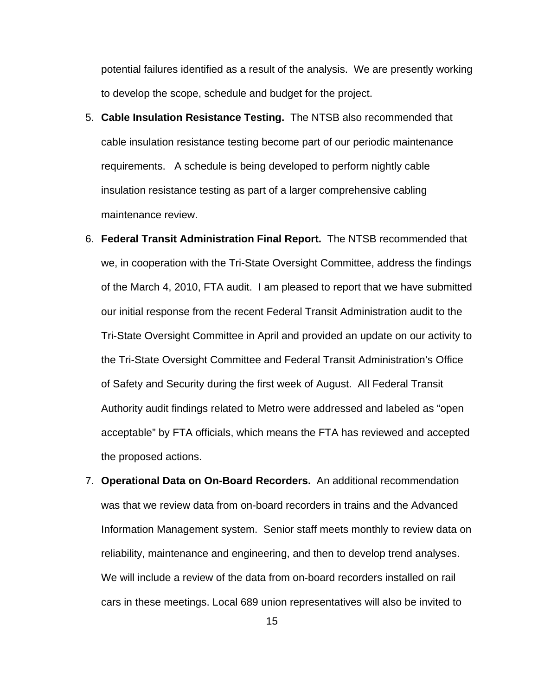potential failures identified as a result of the analysis. We are presently working to develop the scope, schedule and budget for the project.

- 5. **Cable Insulation Resistance Testing.** The NTSB also recommended that cable insulation resistance testing become part of our periodic maintenance requirements. A schedule is being developed to perform nightly cable insulation resistance testing as part of a larger comprehensive cabling maintenance review.
- 6. **Federal Transit Administration Final Report.** The NTSB recommended that we, in cooperation with the Tri-State Oversight Committee, address the findings of the March 4, 2010, FTA audit. I am pleased to report that we have submitted our initial response from the recent Federal Transit Administration audit to the Tri-State Oversight Committee in April and provided an update on our activity to the Tri-State Oversight Committee and Federal Transit Administration's Office of Safety and Security during the first week of August. All Federal Transit Authority audit findings related to Metro were addressed and labeled as "open acceptable" by FTA officials, which means the FTA has reviewed and accepted the proposed actions.
- 7. **Operational Data on On-Board Recorders.** An additional recommendation was that we review data from on-board recorders in trains and the Advanced Information Management system. Senior staff meets monthly to review data on reliability, maintenance and engineering, and then to develop trend analyses. We will include a review of the data from on-board recorders installed on rail cars in these meetings. Local 689 union representatives will also be invited to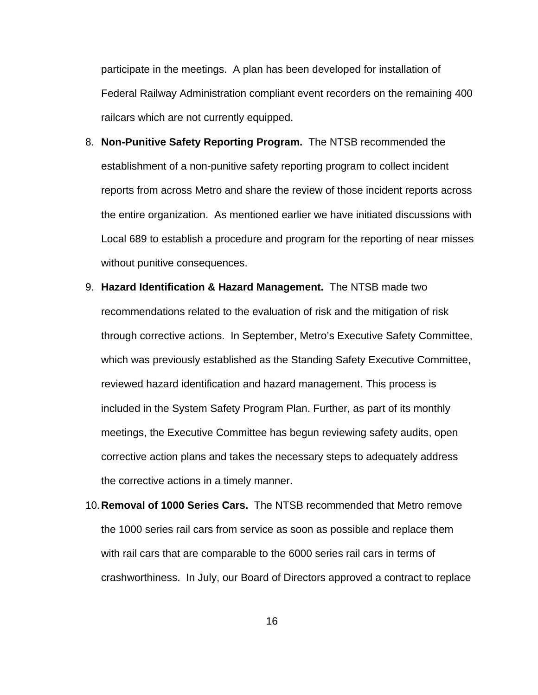participate in the meetings. A plan has been developed for installation of Federal Railway Administration compliant event recorders on the remaining 400 railcars which are not currently equipped.

- 8. **Non-Punitive Safety Reporting Program.** The NTSB recommended the establishment of a non-punitive safety reporting program to collect incident reports from across Metro and share the review of those incident reports across the entire organization. As mentioned earlier we have initiated discussions with Local 689 to establish a procedure and program for the reporting of near misses without punitive consequences.
- 9. **Hazard Identification & Hazard Management.** The NTSB made two recommendations related to the evaluation of risk and the mitigation of risk through corrective actions. In September, Metro's Executive Safety Committee, which was previously established as the Standing Safety Executive Committee, reviewed hazard identification and hazard management. This process is included in the System Safety Program Plan. Further, as part of its monthly meetings, the Executive Committee has begun reviewing safety audits, open corrective action plans and takes the necessary steps to adequately address the corrective actions in a timely manner.
- 10.**Removal of 1000 Series Cars.** The NTSB recommended that Metro remove the 1000 series rail cars from service as soon as possible and replace them with rail cars that are comparable to the 6000 series rail cars in terms of crashworthiness. In July, our Board of Directors approved a contract to replace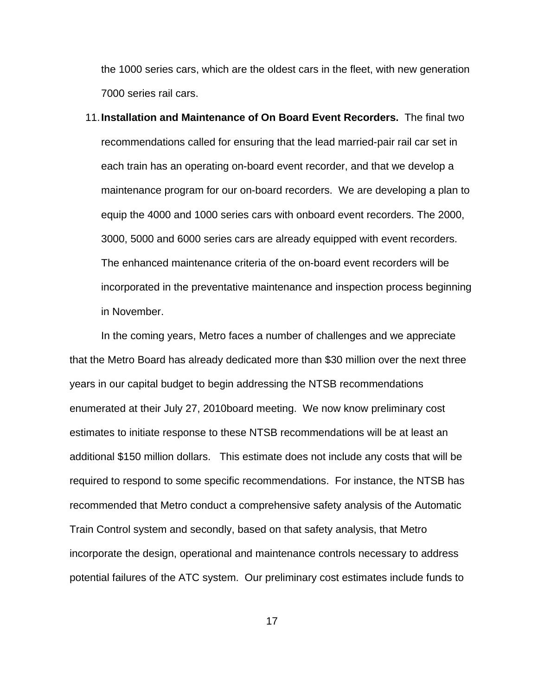the 1000 series cars, which are the oldest cars in the fleet, with new generation 7000 series rail cars.

11.**Installation and Maintenance of On Board Event Recorders.** The final two recommendations called for ensuring that the lead married-pair rail car set in each train has an operating on-board event recorder, and that we develop a maintenance program for our on-board recorders. We are developing a plan to equip the 4000 and 1000 series cars with onboard event recorders. The 2000, 3000, 5000 and 6000 series cars are already equipped with event recorders. The enhanced maintenance criteria of the on-board event recorders will be incorporated in the preventative maintenance and inspection process beginning in November.

In the coming years, Metro faces a number of challenges and we appreciate that the Metro Board has already dedicated more than \$30 million over the next three years in our capital budget to begin addressing the NTSB recommendations enumerated at their July 27, 2010board meeting. We now know preliminary cost estimates to initiate response to these NTSB recommendations will be at least an additional \$150 million dollars. This estimate does not include any costs that will be required to respond to some specific recommendations. For instance, the NTSB has recommended that Metro conduct a comprehensive safety analysis of the Automatic Train Control system and secondly, based on that safety analysis, that Metro incorporate the design, operational and maintenance controls necessary to address potential failures of the ATC system. Our preliminary cost estimates include funds to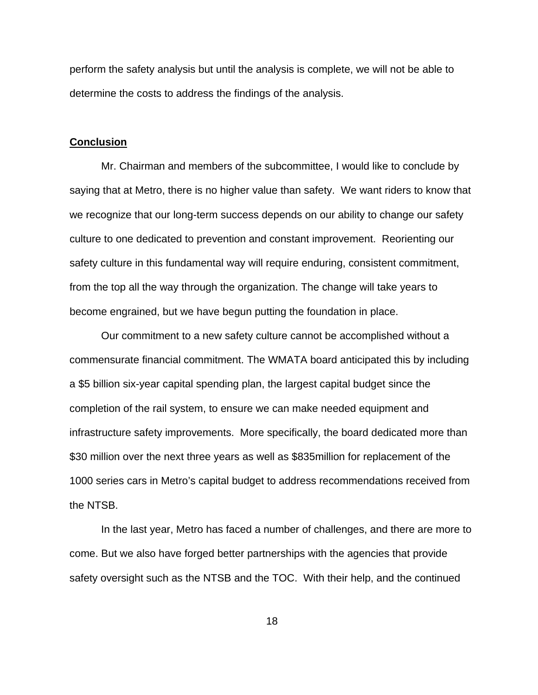perform the safety analysis but until the analysis is complete, we will not be able to determine the costs to address the findings of the analysis.

### **Conclusion**

Mr. Chairman and members of the subcommittee, I would like to conclude by saying that at Metro, there is no higher value than safety. We want riders to know that we recognize that our long-term success depends on our ability to change our safety culture to one dedicated to prevention and constant improvement. Reorienting our safety culture in this fundamental way will require enduring, consistent commitment, from the top all the way through the organization. The change will take years to become engrained, but we have begun putting the foundation in place.

Our commitment to a new safety culture cannot be accomplished without a commensurate financial commitment. The WMATA board anticipated this by including a \$5 billion six-year capital spending plan, the largest capital budget since the completion of the rail system, to ensure we can make needed equipment and infrastructure safety improvements. More specifically, the board dedicated more than \$30 million over the next three years as well as \$835million for replacement of the 1000 series cars in Metro's capital budget to address recommendations received from the NTSB.

In the last year, Metro has faced a number of challenges, and there are more to come. But we also have forged better partnerships with the agencies that provide safety oversight such as the NTSB and the TOC. With their help, and the continued